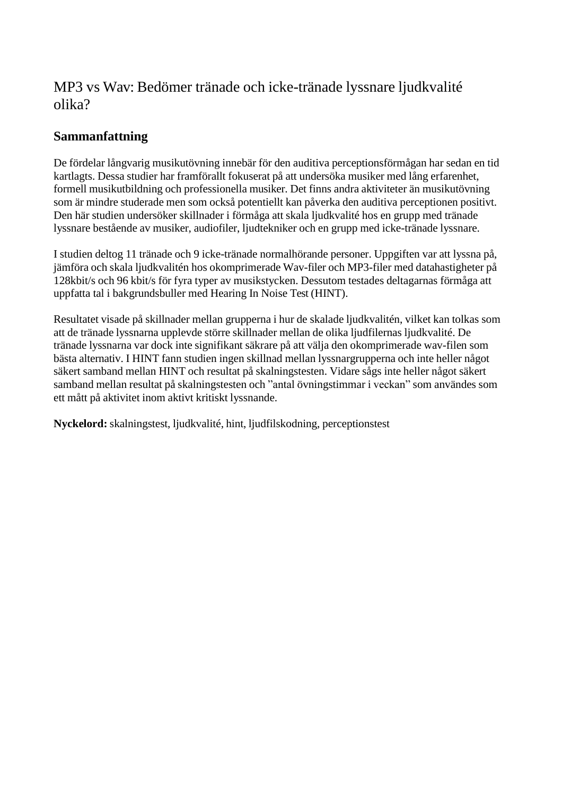## MP3 vs Wav: Bedömer tränade och icke-tränade lyssnare ljudkvalité olika?

## **Sammanfattning**

De fördelar långvarig musikutövning innebär för den auditiva perceptionsförmågan har sedan en tid kartlagts. Dessa studier har framförallt fokuserat på att undersöka musiker med lång erfarenhet, formell musikutbildning och professionella musiker. Det finns andra aktiviteter än musikutövning som är mindre studerade men som också potentiellt kan påverka den auditiva perceptionen positivt. Den här studien undersöker skillnader i förmåga att skala ljudkvalité hos en grupp med tränade lyssnare bestående av musiker, audiofiler, ljudtekniker och en grupp med icke-tränade lyssnare.

I studien deltog 11 tränade och 9 icke-tränade normalhörande personer. Uppgiften var att lyssna på, jämföra och skala ljudkvalitén hos okomprimerade Wav-filer och MP3-filer med datahastigheter på 128kbit/s och 96 kbit/s för fyra typer av musikstycken. Dessutom testades deltagarnas förmåga att uppfatta tal i bakgrundsbuller med Hearing In Noise Test (HINT).

Resultatet visade på skillnader mellan grupperna i hur de skalade ljudkvalitén, vilket kan tolkas som att de tränade lyssnarna upplevde större skillnader mellan de olika ljudfilernas ljudkvalité. De tränade lyssnarna var dock inte signifikant säkrare på att välja den okomprimerade wav-filen som bästa alternativ. I HINT fann studien ingen skillnad mellan lyssnargrupperna och inte heller något säkert samband mellan HINT och resultat på skalningstesten. Vidare sågs inte heller något säkert samband mellan resultat på skalningstesten och "antal övningstimmar i veckan" som användes som ett mått på aktivitet inom aktivt kritiskt lyssnande.

**Nyckelord:** skalningstest, ljudkvalité, hint, ljudfilskodning, perceptionstest